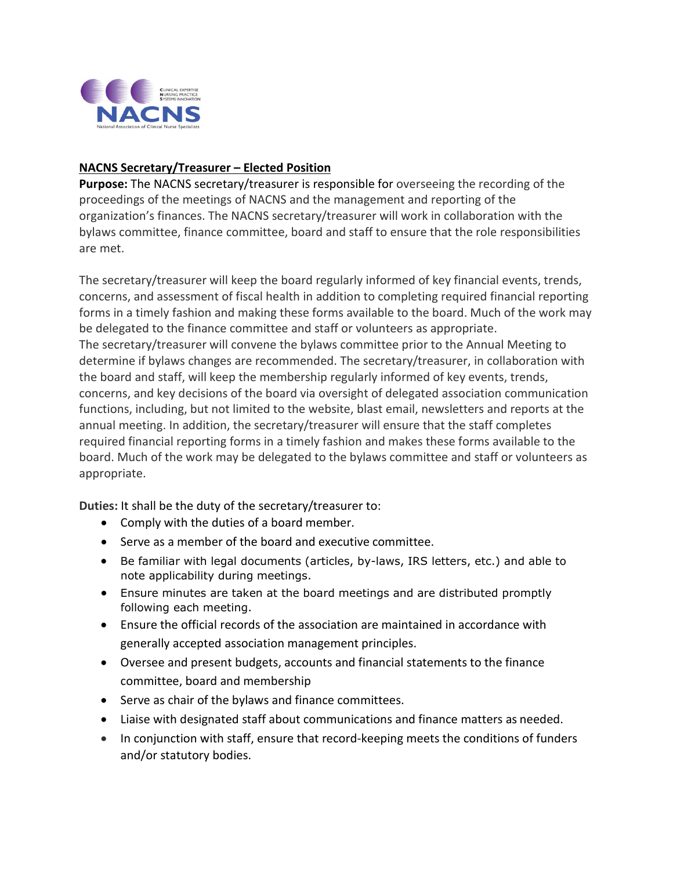

## **NACNS Secretary/Treasurer – Elected Position**

**Purpose:** The NACNS secretary/treasurer is responsible for overseeing the recording of the proceedings of the meetings of NACNS and the management and reporting of the organization's finances. The NACNS secretary/treasurer will work in collaboration with the bylaws committee, finance committee, board and staff to ensure that the role responsibilities are met.

The secretary/treasurer will keep the board regularly informed of key financial events, trends, concerns, and assessment of fiscal health in addition to completing required financial reporting forms in a timely fashion and making these forms available to the board. Much of the work may be delegated to the finance committee and staff or volunteers as appropriate. The secretary/treasurer will convene the bylaws committee prior to the Annual Meeting to determine if bylaws changes are recommended. The secretary/treasurer, in collaboration with the board and staff, will keep the membership regularly informed of key events, trends, concerns, and key decisions of the board via oversight of delegated association communication functions, including, but not limited to the website, blast email, newsletters and reports at the annual meeting. In addition, the secretary/treasurer will ensure that the staff completes required financial reporting forms in a timely fashion and makes these forms available to the board. Much of the work may be delegated to the bylaws committee and staff or volunteers as appropriate.

**Duties:** It shall be the duty of the secretary/treasurer to:

- Comply with the duties of a board member.
- Serve as a member of the board and executive committee.
- Be familiar with legal documents (articles, by-laws, IRS letters, etc.) and able to note applicability during meetings.
- Ensure minutes are taken at the board meetings and are distributed promptly following each meeting.
- Ensure the official records of the association are maintained in accordance with generally accepted association management principles.
- Oversee and present budgets, accounts and financial statements to the finance committee, board and membership
- Serve as chair of the bylaws and finance committees.
- Liaise with designated staff about communications and finance matters as needed.
- In conjunction with staff, ensure that record-keeping meets the conditions of funders and/or statutory bodies.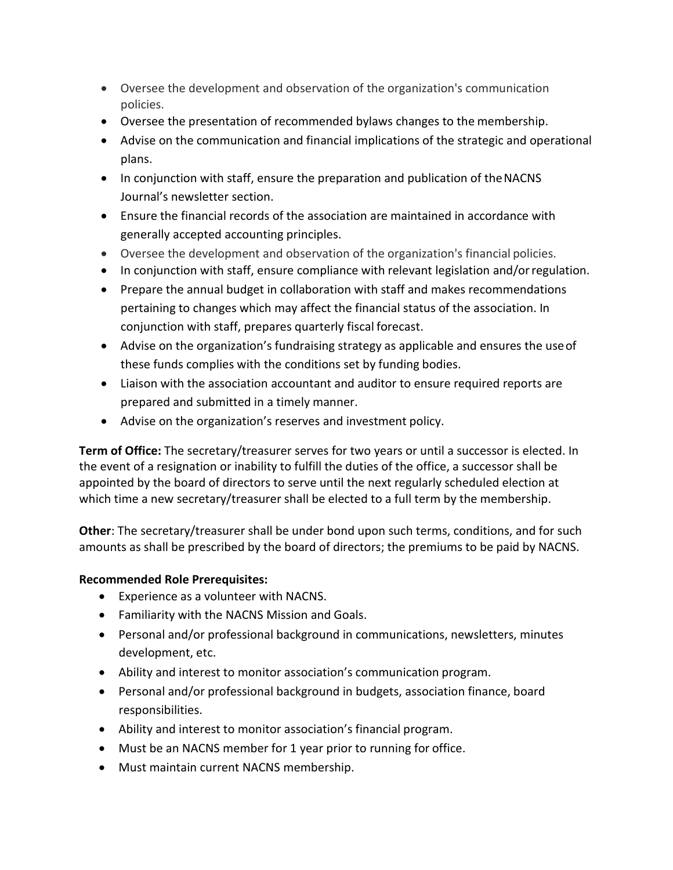- Oversee the development and observation of the organization's communication policies.
- Oversee the presentation of recommended bylaws changes to the membership.
- Advise on the communication and financial implications of the strategic and operational plans.
- In conjunction with staff, ensure the preparation and publication of the NACNS Journal's newsletter section.
- Ensure the financial records of the association are maintained in accordance with generally accepted accounting principles.
- Oversee the development and observation of the organization's financial policies.
- In conjunction with staff, ensure compliance with relevant legislation and/orregulation.
- Prepare the annual budget in collaboration with staff and makes recommendations pertaining to changes which may affect the financial status of the association. In conjunction with staff, prepares quarterly fiscal forecast.
- Advise on the organization's fundraising strategy as applicable and ensures the useof these funds complies with the conditions set by funding bodies.
- Liaison with the association accountant and auditor to ensure required reports are prepared and submitted in a timely manner.
- Advise on the organization's reserves and investment policy.

**Term of Office:** The secretary/treasurer serves for two years or until a successor is elected. In the event of a resignation or inability to fulfill the duties of the office, a successor shall be appointed by the board of directors to serve until the next regularly scheduled election at which time a new secretary/treasurer shall be elected to a full term by the membership.

**Other**: The secretary/treasurer shall be under bond upon such terms, conditions, and for such amounts as shall be prescribed by the board of directors; the premiums to be paid by NACNS.

## **Recommended Role Prerequisites:**

- Experience as a volunteer with NACNS.
- Familiarity with the NACNS Mission and Goals.
- Personal and/or professional background in communications, newsletters, minutes development, etc.
- Ability and interest to monitor association's communication program.
- Personal and/or professional background in budgets, association finance, board responsibilities.
- Ability and interest to monitor association's financial program.
- Must be an NACNS member for 1 year prior to running for office.
- Must maintain current NACNS membership.